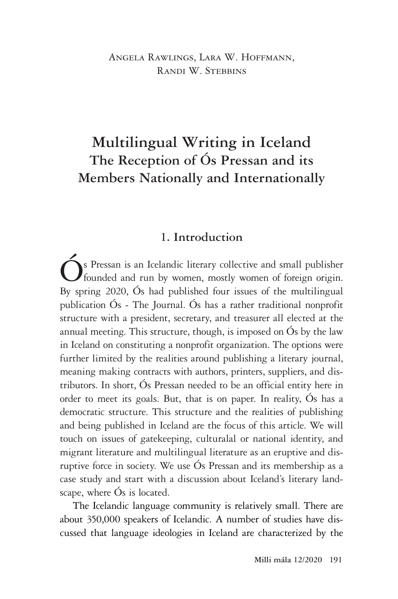#### Angela Rawlings, Lara W. Hoffmann, RANDI W. STEBBINS

# **Multilingual Writing in Iceland The Reception of Ós Pressan and its Members Nationally and Internationally**

#### **1. Introduction**

s Pressan is an Icelandic literary collective and small publisher founded and run by women, mostly women of foreign origin. By spring 2020, Ós had published four issues of the multilingual publication Ós - The Journal. Ós has a rather traditional nonprofit structure with a president, secretary, and treasurer all elected at the annual meeting. This structure, though, is imposed on Ós by the law in Iceland on constituting a nonprofit organization. The options were further limited by the realities around publishing a literary journal, meaning making contracts with authors, printers, suppliers, and distributors. In short, Ós Pressan needed to be an official entity here in order to meet its goals. But, that is on paper. In reality, Ós has a democratic structure. This structure and the realities of publishing and being published in Iceland are the focus of this article. We will touch on issues of gatekeeping, culturalal or national identity, and migrant literature and multilingual literature as an eruptive and disruptive force in society. We use Ós Pressan and its membership as a case study and start with a discussion about Iceland's literary landscape, where Ós is located.

The Icelandic language community is relatively small. There are about 350,000 speakers of Icelandic. A number of studies have discussed that language ideologies in Iceland are characterized by the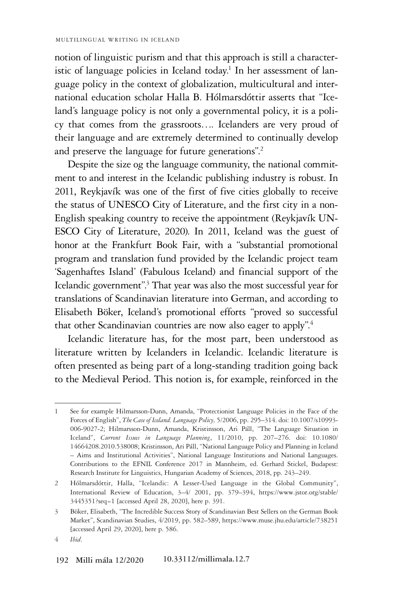notion of linguistic purism and that this approach is still a characteristic of language policies in Iceland today.<sup>1</sup> In her assessment of language policy in the context of globalization, multicultural and international education scholar Halla B. Hólmarsdóttir asserts that "Iceland's language policy is not only a governmental policy, it is a policy that comes from the grassroots…. Icelanders are very proud of their language and are extremely determined to continually develop and preserve the language for future generations".<sup>2</sup>

Despite the size og the language community, the national commitment to and interest in the Icelandic publishing industry is robust. In 2011, Reykjavík was one of the first of five cities globally to receive the status of UNESCO City of Literature, and the first city in a non-English speaking country to receive the appointment (Reykjavík UN-ESCO City of Literature, 2020). In 2011, Iceland was the guest of honor at the Frankfurt Book Fair, with a "substantial promotional program and translation fund provided by the Icelandic project team 'Sagenhaftes Island' (Fabulous Iceland) and financial support of the Icelandic government".<sup>3</sup> That year was also the most successful year for translations of Scandinavian literature into German, and according to Elisabeth Böker, Iceland's promotional efforts "proved so successful that other Scandinavian countries are now also eager to apply".<sup>4</sup>

Icelandic literature has, for the most part, been understood as literature written by Icelanders in Icelandic. Icelandic literature is often presented as being part of a long-standing tradition going back to the Medieval Period. This notion is, for example, reinforced in the

<sup>1</sup> See for example Hilmarsson-Dunn, Amanda, "Protectionist Language Policies in the Face of the Forces of English", *The Case of Iceland. Language Policy,* 5/2006, pp. 295–314. doi: 10.1007/s10993- 006-9027-2; Hilmarsson-Dunn, Amanda, Kristinsson, Ari Páll, "The Language Situation in Iceland", *Current Issues in Language Planning*, 11/2010, pp. 207–276. doi: 10.1080/ 14664208.2010.538008; Kristinsson, Ari Páll, "National Language Policy and Planning in Iceland – Aims and Institutional Activities", National Language Institutions and National Languages. Contributions to the EFNIL Conference 2017 in Mannheim, ed. Gerhard Stickel, Budapest: Research Institute for Linguistics, Hungarian Academy of Sciences, 2018, pp. 243–249.

<sup>2</sup> Hólmarsdóttir, Halla, "Icelandic: A Lesser-Used Language in the Global Community", International Review of Education, 3–4/ 2001, pp. 379–394, https://www.jstor.org/stable/ 3445351?seq=1 [accessed April 28, 2020], here p. 391.

<sup>3</sup> Böker, Elisabeth, "The Incredible Success Story of Scandinavian Best Sellers on the German Book Market", Scandinavian Studies, 4/2019, pp. 582–589, https://www.muse.jhu.edu/article/738251 [accessed April 29, 2020], here p. 586.

<sup>4</sup> *Ibid*.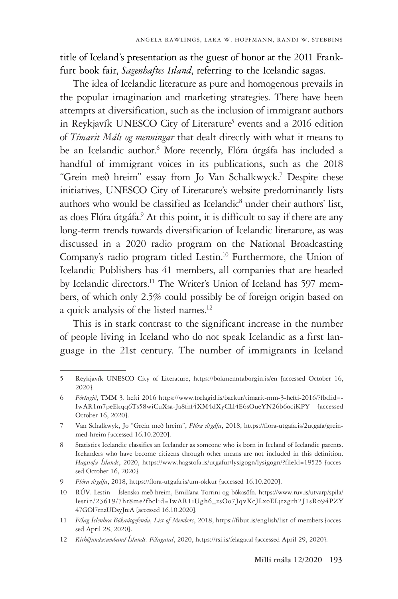title of Iceland's presentation as the guest of honor at the 2011 Frankfurt book fair, *Sagenhaftes Island*, referring to the Icelandic sagas.

The idea of Icelandic literature as pure and homogenous prevails in the popular imagination and marketing strategies. There have been attempts at diversification, such as the inclusion of immigrant authors in Reykjavík UNESCO City of Literature<sup>5</sup> events and a 2016 edition of *Tímarit Máls og menningar* that dealt directly with what it means to be an Icelandic author.<sup>6</sup> More recently, Flóra útgáfa has included a handful of immigrant voices in its publications, such as the 2018 "Grein með hreim" essay from Jo Van Schalkwyck.7 Despite these initiatives, UNESCO City of Literature's website predominantly lists authors who would be classified as Icelandic<sup>8</sup> under their authors' list, as does Flóra útgáfa.<sup>9</sup> At this point, it is difficult to say if there are any long-term trends towards diversification of Icelandic literature, as was discussed in a 2020 radio program on the National Broadcasting Company's radio program titled Lestin.10 Furthermore, the Union of Icelandic Publishers has 41 members, all companies that are headed by Icelandic directors.<sup>11</sup> The Writer's Union of Iceland has 597 members, of which only 2.5% could possibly be of foreign origin based on a quick analysis of the listed names.<sup>12</sup>

This is in stark contrast to the significant increase in the number of people living in Iceland who do not speak Icelandic as a first language in the 21st century. The number of immigrants in Iceland

<sup>5</sup> Reykjavík UNESCO City of Literature, https://bokmenntaborgin.is/en [accessed October 16, 2020].

<sup>6</sup> *Fórlagið*, TMM 3. hefti 2016 https://www.forlagid.is/baekur/timarit-mm-3-hefti-2016/?fbclid=- IwAR1m7peEkqq6Ts58wiCuXsa-Ja8fnf4XM4dXyCLl4E6sOueYN26b6ocjKPY [accessed October 16, 2020].

<sup>7</sup> Van Schalkwyk, Jo "Grein með hreim", *Flóra útgáfa*, 2018, https://flora-utgafa.is/2utgafa/greinmed-hreim [accessed 16.10.2020].

<sup>8</sup> Statistics Icelandic classifies an Icelander as someone who is born in Iceland of Icelandic parents. Icelanders who have become citizens through other means are not included in this definition. Hagstofa Íslands, 2020, https://www.hagstofa.is/utgafur/lysigogn/lysigogn/?fileId=19525 [accessed October 16, 2020].

<sup>9</sup> *Flóra útgáfa*, 2018, https://flora-utgafa.is/um-okkur [accessed 16.10.2020].

<sup>10</sup> RÚV. Lestin – Íslenska með hreim, Emilíana Torrini og bókasöfn. https://www.ruv.is/utvarp/spila/ lestin/23619/7hr8me?fbclid=IwAR1iUgh6\_zsOo7JqvXcJLxoELjtzgrh2J1sRo94PZY 47GOl7rnzUDsyJteA [accessed 16.10.2020].

<sup>11</sup> *Félag Íslenkra Bókaútgefenda, List of Members*, 2018, https://fibut.is/english/list-of-members [accessed April 28, 2020].

<sup>12</sup> *Rithöfundasamband Íslands. Félagatal*, 2020, https://rsi.is/felagatal [accessed April 29, 2020].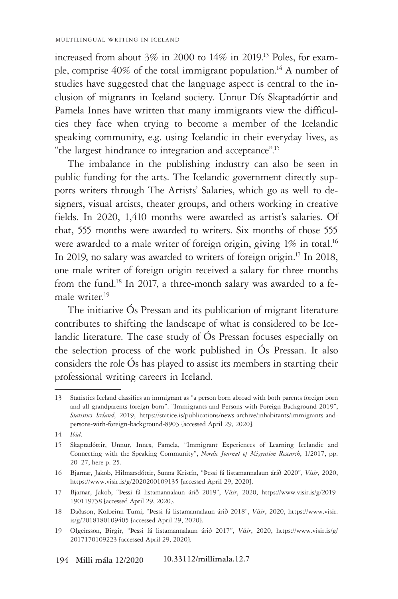increased from about 3% in 2000 to 14% in 2019.13 Poles, for example, comprise  $40\%$  of the total immigrant population.<sup>14</sup> A number of studies have suggested that the language aspect is central to the inclusion of migrants in Iceland society. Unnur Dís Skaptadóttir and Pamela Innes have written that many immigrants view the difficulties they face when trying to become a member of the Icelandic speaking community, e.g. using Icelandic in their everyday lives, as "the largest hindrance to integration and acceptance".15

The imbalance in the publishing industry can also be seen in public funding for the arts. The Icelandic government directly supports writers through The Artists' Salaries, which go as well to designers, visual artists, theater groups, and others working in creative fields. In 2020, 1,410 months were awarded as artist's salaries. Of that, 555 months were awarded to writers. Six months of those 555 were awarded to a male writer of foreign origin, giving 1% in total.<sup>16</sup> In 2019, no salary was awarded to writers of foreign origin.<sup>17</sup> In 2018, one male writer of foreign origin received a salary for three months from the fund.<sup>18</sup> In 2017, a three-month salary was awarded to a female writer.19

The initiative Ós Pressan and its publication of migrant literature contributes to shifting the landscape of what is considered to be Icelandic literature. The case study of Ós Pressan focuses especially on the selection process of the work published in Ós Pressan. It also considers the role Ós has played to assist its members in starting their professional writing careers in Iceland.

<sup>13</sup> Statistics Iceland classifies an immigrant as "a person born abroad with both parents foreign born and all grandparents foreign born". "Immigrants and Persons with Foreign Background 2019", *Statistics Iceland*, 2019, https://statice.is/publications/news-archive/inhabitants/immigrants-andpersons-with-foreign-background-8903 [accessed April 29, 2020].

<sup>14</sup> *Ibid*.

<sup>15</sup> Skaptadóttir, Unnur, Innes, Pamela, "Immigrant Experiences of Learning Icelandic and Connecting with the Speaking Community", *Nordic Journal of Migration Research*, 1/2017, pp. 20–27, here p. 25.

<sup>16</sup> Bjarnar, Jakob, Hilmarsdóttir, Sunna Kristín, "Þessi fá listamannalaun árið 2020", *Vísir*, 2020, https://www.visir.is/g/2020200109135 [accessed April 29, 2020].

<sup>17</sup> Bjarnar, Jakob, "Þessi fá listamannalaun árið 2019", *Vísir*, 2020, https://www.visir.is/g/2019- 190119758 [accessed April 29, 2020].

<sup>18</sup> Daðason, Kolbeinn Tumi, "Þessi fá listamannalaun árið 2018", *Vísir*, 2020, https://www.visir. is/g/2018180109405 [accessed April 29, 2020].

<sup>19</sup> Olgeirsson, Birgir, "Þessi fá listamannalaun árið 2017", *Vísir*, 2020, https://www.visir.is/g/ 2017170109223 [accessed April 29, 2020].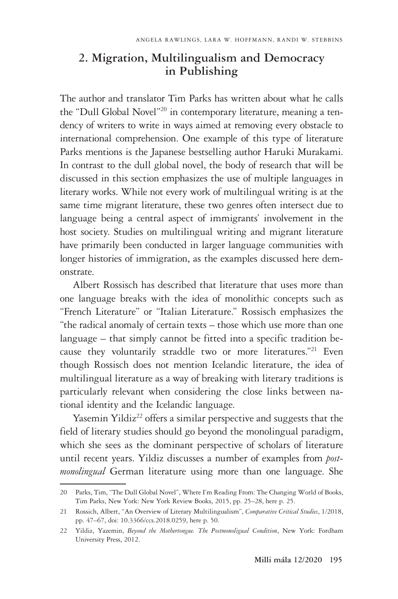### **2. Migration, Multilingualism and Democracy in Publishing**

The author and translator Tim Parks has written about what he calls the "Dull Global Novel"<sup>20</sup> in contemporary literature, meaning a tendency of writers to write in ways aimed at removing every obstacle to international comprehension. One example of this type of literature Parks mentions is the Japanese bestselling author Haruki Murakami. In contrast to the dull global novel, the body of research that will be discussed in this section emphasizes the use of multiple languages in literary works. While not every work of multilingual writing is at the same time migrant literature, these two genres often intersect due to language being a central aspect of immigrants' involvement in the host society. Studies on multilingual writing and migrant literature have primarily been conducted in larger language communities with longer histories of immigration, as the examples discussed here demonstrate.

Albert Rossisch has described that literature that uses more than one language breaks with the idea of monolithic concepts such as "French Literature" or "Italian Literature." Rossisch emphasizes the "the radical anomaly of certain texts – those which use more than one language – that simply cannot be fitted into a specific tradition because they voluntarily straddle two or more literatures."21 Even though Rossisch does not mention Icelandic literature, the idea of multilingual literature as a way of breaking with literary traditions is particularly relevant when considering the close links between national identity and the Icelandic language.

Yasemin Yildiz<sup>22</sup> offers a similar perspective and suggests that the field of literary studies should go beyond the monolingual paradigm, which she sees as the dominant perspective of scholars of literature until recent years. Yildiz discusses a number of examples from *postmonolingual* German literature using more than one language. She

<sup>20</sup> Parks, Tim, "The Dull Global Novel", Where I'm Reading From: The Changing World of Books, Tim Parks, New York: New York Review Books, 2015, pp. 25–28, here p. 25.

<sup>21</sup> Rossich, Albert, "An Overview of Literary Multilingualism", *Comparative Critical Studies*, 1/2018, pp. 47–67, doi: 10.3366/ccs.2018.0259, here p. 50.

<sup>22</sup> Yildiz, Yazemin, *Beyond the Mothertongue. The Postmonoligual Condition*, New York: Fordham University Press, 2012.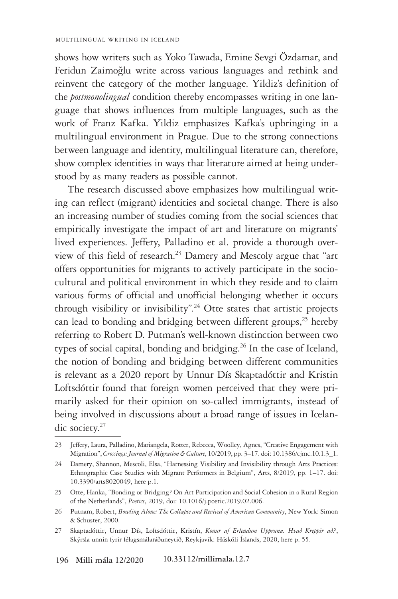shows how writers such as Yoko Tawada, Emine Sevgi Özdamar, and Feridun Zaimoğlu write across various languages and rethink and reinvent the category of the mother language. Yildiz's definition of the *postmonolingual* condition thereby encompasses writing in one language that shows influences from multiple languages, such as the work of Franz Kafka. Yildiz emphasizes Kafka's upbringing in a multilingual environment in Prague. Due to the strong connections between language and identity, multilingual literature can, therefore, show complex identities in ways that literature aimed at being understood by as many readers as possible cannot.

The research discussed above emphasizes how multilingual writing can reflect (migrant) identities and societal change. There is also an increasing number of studies coming from the social sciences that empirically investigate the impact of art and literature on migrants' lived experiences. Jeffery, Palladino et al. provide a thorough overview of this field of research.23 Damery and Mescoly argue that "art offers opportunities for migrants to actively participate in the sociocultural and political environment in which they reside and to claim various forms of official and unofficial belonging whether it occurs through visibility or invisibility".<sup>24</sup> Otte states that artistic projects can lead to bonding and bridging between different groups,<sup>25</sup> hereby referring to Robert D. Putman's well-known distinction between two types of social capital, bonding and bridging.<sup>26</sup> In the case of Iceland, the notion of bonding and bridging between different communities is relevant as a 2020 report by Unnur Dís Skaptadóttir and Kristin Loftsdóttir found that foreign women perceived that they were primarily asked for their opinion on so-called immigrants, instead of being involved in discussions about a broad range of issues in Icelandic society.<sup>27</sup>

<sup>23</sup> Jeffery, Laura, Palladino, Mariangela, Rotter, Rebecca, Woolley, Agnes, "Creative Engagement with Migration", *Crossings: Journal of Migration & Culture*, 10/2019, pp. 3–17. doi: 10.1386/cjmc.10.1.3\_1.

<sup>24</sup> Damery, Shannon, Mescoli, Elsa, "Harnessing Visibility and Invisibility through Arts Practices: Ethnographic Case Studies with Migrant Performers in Belgium", Arts, 8/2019, pp. 1–17. doi: 10.3390/arts8020049, here p.1.

<sup>25</sup> Otte, Hanka, "Bonding or Bridging? On Art Participation and Social Cohesion in a Rural Region of the Netherlands", *Poetics*, 2019, doi: 10.1016/j.poetic.2019.02.006.

<sup>26</sup> Putnam, Robert, *Bowling Alone: The Collapse and Revival of American Community*, New York: Simon & Schuster, 2000.

<sup>27</sup> Skaptadóttir, Unnur Dís, Loftsdóttir, Kristín, *Konur af Erlendum Uppruna. Hvað Kreppir að?*, Skýrsla unnin fyrir félagsmálaráðuneytið, Reykjavík: Háskóli Íslands, 2020, here p. 55.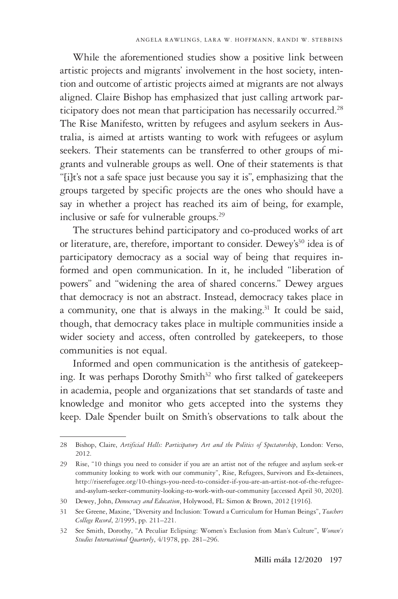While the aforementioned studies show a positive link between artistic projects and migrants' involvement in the host society, intention and outcome of artistic projects aimed at migrants are not always aligned. Claire Bishop has emphasized that just calling artwork participatory does not mean that participation has necessarily occurred.<sup>28</sup> The Rise Manifesto, written by refugees and asylum seekers in Australia, is aimed at artists wanting to work with refugees or asylum seekers. Their statements can be transferred to other groups of migrants and vulnerable groups as well. One of their statements is that "[i]t's not a safe space just because you say it is", emphasizing that the groups targeted by specific projects are the ones who should have a say in whether a project has reached its aim of being, for example, inclusive or safe for vulnerable groups.29

The structures behind participatory and co-produced works of art or literature, are, therefore, important to consider. Dewey's<sup>30</sup> idea is of participatory democracy as a social way of being that requires informed and open communication. In it, he included "liberation of powers" and "widening the area of shared concerns." Dewey argues that democracy is not an abstract. Instead, democracy takes place in a community, one that is always in the making.<sup>31</sup> It could be said, though, that democracy takes place in multiple communities inside a wider society and access, often controlled by gatekeepers, to those communities is not equal.

Informed and open communication is the antithesis of gatekeeping. It was perhaps Dorothy Smith<sup>32</sup> who first talked of gatekeepers in academia, people and organizations that set standards of taste and knowledge and monitor who gets accepted into the systems they keep. Dale Spender built on Smith's observations to talk about the

<sup>28</sup> Bishop, Claire, *Artificial Hells: Participatory Art and the Politics of Spectatorship*, London: Verso, 2012.

<sup>29</sup> Rise, "10 things you need to consider if you are an artist not of the refugee and asylum seek-er community looking to work with our community", Rise, Refugees, Survivors and Ex-detainees, http://riserefugee.org/10-things-you-need-to-consider-if-you-are-an-artist-not-of-the-refugeeand-asylum-seeker-community-looking-to-work-with-our-community [accessed April 30, 2020].

<sup>30</sup> Dewey, John, *Democracy and Education*, Holywood, FL: Simon & Brown, 2012 [1916].

<sup>31</sup> See Greene, Maxine, "Diversity and Inclusion: Toward a Curriculum for Human Beings", *Teachers College Record*, 2/1995, pp. 211–221.

<sup>32</sup> See Smith, Dorothy, "A Peculiar Eclipsing: Women's Exclusion from Man's Culture", *Women's Studies International Quarterly*, 4/1978, pp. 281–296.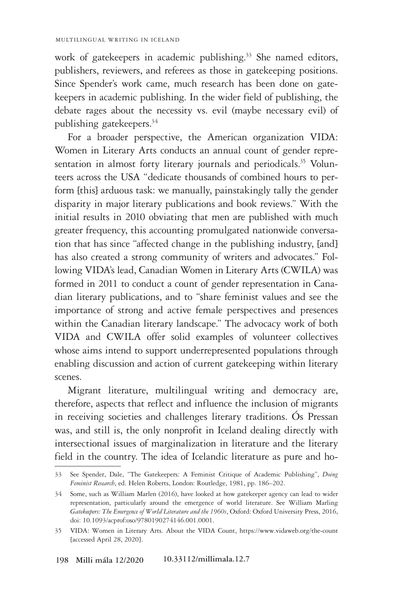work of gatekeepers in academic publishing.<sup>33</sup> She named editors, publishers, reviewers, and referees as those in gatekeeping positions. Since Spender's work came, much research has been done on gatekeepers in academic publishing. In the wider field of publishing, the debate rages about the necessity vs. evil (maybe necessary evil) of publishing gatekeepers.34

For a broader perspective, the American organization VIDA: Women in Literary Arts conducts an annual count of gender representation in almost forty literary journals and periodicals.<sup>35</sup> Volunteers across the USA "dedicate thousands of combined hours to perform [this] arduous task: we manually, painstakingly tally the gender disparity in major literary publications and book reviews." With the initial results in 2010 obviating that men are published with much greater frequency, this accounting promulgated nationwide conversation that has since "affected change in the publishing industry, [and] has also created a strong community of writers and advocates." Following VIDA's lead, Canadian Women in Literary Arts (CWILA) was formed in 2011 to conduct a count of gender representation in Canadian literary publications, and to "share feminist values and see the importance of strong and active female perspectives and presences within the Canadian literary landscape." The advocacy work of both VIDA and CWILA offer solid examples of volunteer collectives whose aims intend to support underrepresented populations through enabling discussion and action of current gatekeeping within literary scenes.

Migrant literature, multilingual writing and democracy are, therefore, aspects that reflect and influence the inclusion of migrants in receiving societies and challenges literary traditions. Ós Pressan was, and still is, the only nonprofit in Iceland dealing directly with intersectional issues of marginalization in literature and the literary field in the country. The idea of Icelandic literature as pure and ho-

<sup>33</sup> See Spender, Dale, "The Gatekeepers: A Feminist Critique of Academic Publishing", *Doing Feminist Research*, ed. Helen Roberts, London: Routledge, 1981, pp. 186*–*202.

<sup>34</sup> Some, such as William Marlen (2016), have looked at how gatekeeper agency can lead to wider representation, particularly around the emergence of world literature. See William Marling *Gatekeepers: The Emergence of World Literature and the 1960s*, Oxford: Oxford University Press, 2016, doi: 10.1093/acprof:oso/9780190274146.001.0001.

<sup>35</sup> VIDA: Women in Literary Arts. About the VIDA Count, https://www.vidaweb.org/the-count [accessed April 28, 2020].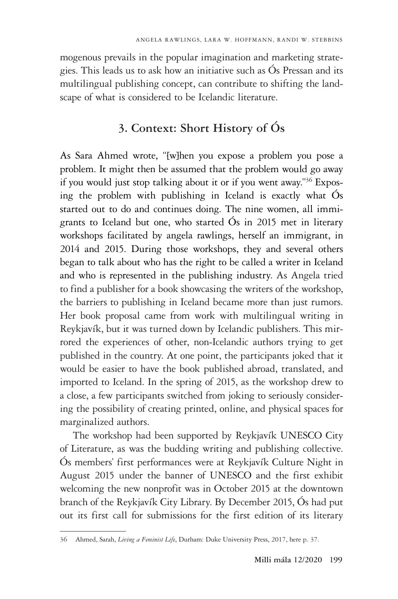mogenous prevails in the popular imagination and marketing strategies. This leads us to ask how an initiative such as Ós Pressan and its multilingual publishing concept, can contribute to shifting the landscape of what is considered to be Icelandic literature.

# **3. Context: Short History of Ós**

As Sara Ahmed wrote, "[w]hen you expose a problem you pose a problem. It might then be assumed that the problem would go away if you would just stop talking about it or if you went away."36 Exposing the problem with publishing in Iceland is exactly what Ós started out to do and continues doing. The nine women, all immigrants to Iceland but one, who started Ós in 2015 met in literary workshops facilitated by angela rawlings, herself an immigrant, in 2014 and 2015. During those workshops, they and several others began to talk about who has the right to be called a writer in Iceland and who is represented in the publishing industry. As Angela tried to find a publisher for a book showcasing the writers of the workshop, the barriers to publishing in Iceland became more than just rumors. Her book proposal came from work with multilingual writing in Reykjavík, but it was turned down by Icelandic publishers. This mirrored the experiences of other, non-Icelandic authors trying to get published in the country. At one point, the participants joked that it would be easier to have the book published abroad, translated, and imported to Iceland. In the spring of 2015, as the workshop drew to a close, a few participants switched from joking to seriously considering the possibility of creating printed, online, and physical spaces for marginalized authors.

The workshop had been supported by Reykjavík UNESCO City of Literature, as was the budding writing and publishing collective. Ós members' first performances were at Reykjavík Culture Night in August 2015 under the banner of UNESCO and the first exhibit welcoming the new nonprofit was in October 2015 at the downtown branch of the Reykjavík City Library. By December 2015, Ós had put out its first call for submissions for the first edition of its literary

<sup>36</sup> Ahmed, Sarah, *Living a Feminist Life*, Durham: Duke University Press, 2017, here p. 37.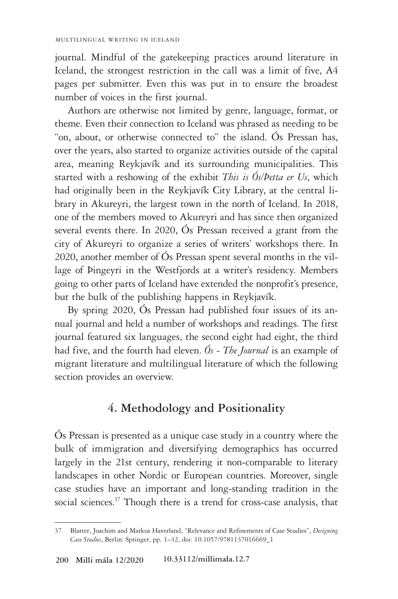journal. Mindful of the gatekeeping practices around literature in Iceland, the strongest restriction in the call was a limit of five, A4 pages per submitter. Even this was put in to ensure the broadest number of voices in the first journal.

Authors are otherwise not limited by genre, language, format, or theme. Even their connection to Iceland was phrased as needing to be "on, about, or otherwise connected to" the island. Ós Pressan has, over the years, also started to organize activities outside of the capital area, meaning Reykjavík and its surrounding municipalities. This started with a reshowing of the exhibit *This is Ós/Þetta er Us*, which had originally been in the Reykjavík City Library, at the central library in Akureyri, the largest town in the north of Iceland. In 2018, one of the members moved to Akureyri and has since then organized several events there. In 2020, Ós Pressan received a grant from the city of Akureyri to organize a series of writers' workshops there. In 2020, another member of Ós Pressan spent several months in the village of Þingeyri in the Westfjords at a writer's residency. Members going to other parts of Iceland have extended the nonprofit's presence, but the bulk of the publishing happens in Reykjavík.

By spring 2020, Ós Pressan had published four issues of its annual journal and held a number of workshops and readings. The first journal featured six languages, the second eight had eight, the third had five, and the fourth had eleven. *Ós - The Journal* is an example of migrant literature and multilingual literature of which the following section provides an overview.

#### **4. Methodology and Positionality**

Ós Pressan is presented as a unique case study in a country where the bulk of immigration and diversifying demographics has occurred largely in the 21st century, rendering it non-comparable to literary landscapes in other Nordic or European countries. Moreover, single case studies have an important and long-standing tradition in the social sciences.<sup>37</sup> Though there is a trend for cross-case analysis, that

<sup>37</sup> Blatter, Joachim and Markus Haverland, "Relevance and Refinements of Case Studies", *Designing Case Studies*, Berlin: Springer, pp. 1–32, doi: 10.1057/9781137016669\_1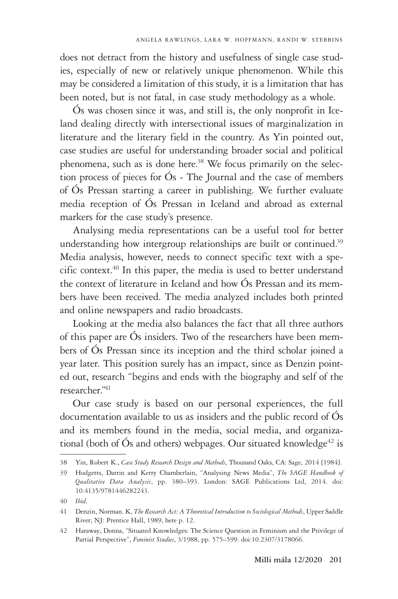does not detract from the history and usefulness of single case studies, especially of new or relatively unique phenomenon. While this may be considered a limitation of this study, it is a limitation that has been noted, but is not fatal, in case study methodology as a whole.

Ós was chosen since it was, and still is, the only nonprofit in Iceland dealing directly with intersectional issues of marginalization in literature and the literary field in the country. As Yin pointed out, case studies are useful for understanding broader social and political phenomena, such as is done here.<sup>38</sup> We focus primarily on the selection process of pieces for Ós - The Journal and the case of members of Ós Pressan starting a career in publishing. We further evaluate media reception of Ós Pressan in Iceland and abroad as external markers for the case study's presence.

Analysing media representations can be a useful tool for better understanding how intergroup relationships are built or continued.<sup>39</sup> Media analysis, however, needs to connect specific text with a specific context.<sup>40</sup> In this paper, the media is used to better understand the context of literature in Iceland and how Ós Pressan and its members have been received. The media analyzed includes both printed and online newspapers and radio broadcasts.

Looking at the media also balances the fact that all three authors of this paper are Ós insiders. Two of the researchers have been members of Ós Pressan since its inception and the third scholar joined a year later. This position surely has an impact, since as Denzin pointed out, research "begins and ends with the biography and self of the researcher."41

Our case study is based on our personal experiences, the full documentation available to us as insiders and the public record of Ós and its members found in the media, social media, and organizational (both of Ós and others) webpages. Our situated knowledge<sup>42</sup> is

<sup>38</sup> Yin, Robert K., *Case Study Research Design and Methods*, Thousand Oaks, CA: Sage, 2014 [1984].

<sup>39</sup> Hodgetts, Darrin and Kerry Chamberlain, "Analysing News Media", *The SAGE Handbook of Qualitative Data Analysis*, pp. 380–393. London: SAGE Publications Ltd, 2014. doi: 10.4135/9781446282243.

<sup>40</sup> *Ibid*.

<sup>41</sup> Denzin, Norman. K, *The Research Act: A Theoretical Introduction to Sociological Methods*, Upper Saddle River, NJ: Prentice Hall, 1989, here p. 12.

<sup>42</sup> Haraway, Donna, "Situated Knowledges: The Science Question in Feminism and the Privilege of Partial Perspective", *Feminist Studies*, 3/1988, pp. 575–599. doi:10.2307/3178066.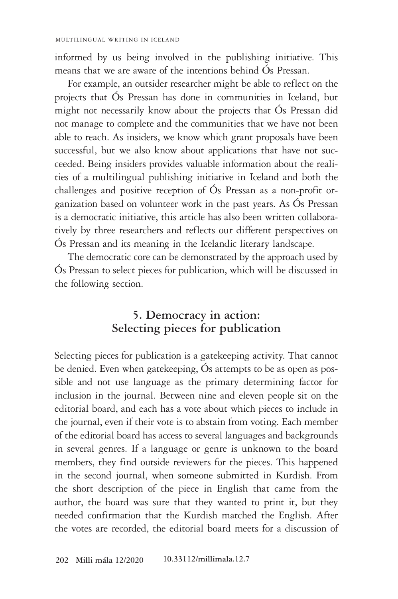informed by us being involved in the publishing initiative. This means that we are aware of the intentions behind Ós Pressan.

For example, an outsider researcher might be able to reflect on the projects that Ós Pressan has done in communities in Iceland, but might not necessarily know about the projects that Ós Pressan did not manage to complete and the communities that we have not been able to reach. As insiders, we know which grant proposals have been successful, but we also know about applications that have not succeeded. Being insiders provides valuable information about the realities of a multilingual publishing initiative in Iceland and both the challenges and positive reception of Ós Pressan as a non-profit organization based on volunteer work in the past years. As Ós Pressan is a democratic initiative, this article has also been written collaboratively by three researchers and reflects our different perspectives on Ós Pressan and its meaning in the Icelandic literary landscape.

The democratic core can be demonstrated by the approach used by Ós Pressan to select pieces for publication, which will be discussed in the following section.

### **5. Democracy in action: Selecting pieces for publication**

Selecting pieces for publication is a gatekeeping activity. That cannot be denied. Even when gatekeeping, Ós attempts to be as open as possible and not use language as the primary determining factor for inclusion in the journal. Between nine and eleven people sit on the editorial board, and each has a vote about which pieces to include in the journal, even if their vote is to abstain from voting. Each member of the editorial board has access to several languages and backgrounds in several genres. If a language or genre is unknown to the board members, they find outside reviewers for the pieces. This happened in the second journal, when someone submitted in Kurdish. From the short description of the piece in English that came from the author, the board was sure that they wanted to print it, but they needed confirmation that the Kurdish matched the English. After the votes are recorded, the editorial board meets for a discussion of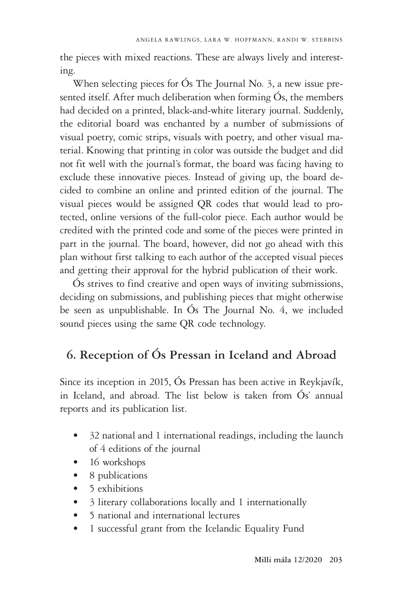the pieces with mixed reactions. These are always lively and interesting.

When selecting pieces for Ós The Journal No. 3, a new issue presented itself. After much deliberation when forming Ós, the members had decided on a printed, black-and-white literary journal. Suddenly, the editorial board was enchanted by a number of submissions of visual poetry, comic strips, visuals with poetry, and other visual material. Knowing that printing in color was outside the budget and did not fit well with the journal's format, the board was facing having to exclude these innovative pieces. Instead of giving up, the board decided to combine an online and printed edition of the journal. The visual pieces would be assigned QR codes that would lead to protected, online versions of the full-color piece. Each author would be credited with the printed code and some of the pieces were printed in part in the journal. The board, however, did not go ahead with this plan without first talking to each author of the accepted visual pieces and getting their approval for the hybrid publication of their work.

Ós strives to find creative and open ways of inviting submissions, deciding on submissions, and publishing pieces that might otherwise be seen as unpublishable. In Ós The Journal No. 4, we included sound pieces using the same QR code technology.

## **6. Reception of Ós Pressan in Iceland and Abroad**

Since its inception in 2015, Ós Pressan has been active in Reykjavík, in Iceland, and abroad. The list below is taken from Ós' annual reports and its publication list.

- 32 national and 1 international readings, including the launch of 4 editions of the journal
- 16 workshops
- 8 publications
- 5 exhibitions
- 3 literary collaborations locally and 1 internationally
- 5 national and international lectures
- 1 successful grant from the Icelandic Equality Fund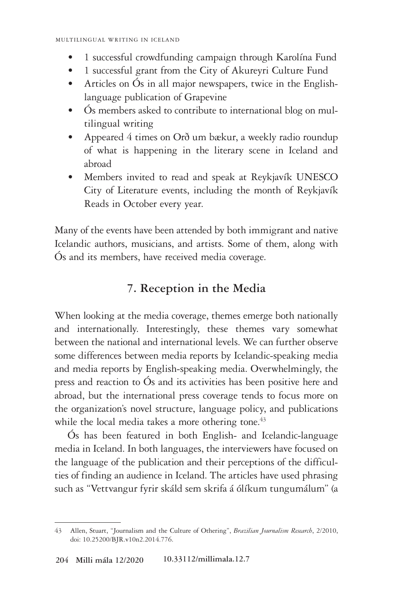- 1 successful crowdfunding campaign through Karolína Fund
- 1 successful grant from the City of Akureyri Culture Fund
- Articles on Ós in all major newspapers, twice in the Englishlanguage publication of Grapevine
- Ós members asked to contribute to international blog on multilingual writing
- Appeared 4 times on Orð um bækur, a weekly radio roundup of what is happening in the literary scene in Iceland and abroad
- Members invited to read and speak at Reykjavík UNESCO City of Literature events, including the month of Reykjavík Reads in October every year.

Many of the events have been attended by both immigrant and native Icelandic authors, musicians, and artists. Some of them, along with Ós and its members, have received media coverage.

#### **7. Reception in the Media**

When looking at the media coverage, themes emerge both nationally and internationally. Interestingly, these themes vary somewhat between the national and international levels. We can further observe some differences between media reports by Icelandic-speaking media and media reports by English-speaking media. Overwhelmingly, the press and reaction to Ós and its activities has been positive here and abroad, but the international press coverage tends to focus more on the organization's novel structure, language policy, and publications while the local media takes a more othering tone.<sup>43</sup>

Ós has been featured in both English- and Icelandic-language media in Iceland. In both languages, the interviewers have focused on the language of the publication and their perceptions of the difficulties of finding an audience in Iceland. The articles have used phrasing such as "Vettvangur fyrir skáld sem skrifa á ólíkum tungumálum" (a

<sup>43</sup> Allen, Stuart, "Journalism and the Culture of Othering", *Brazilian Journalism Research*, 2/2010, doi: 10.25200/BJR.v10n2.2014.776.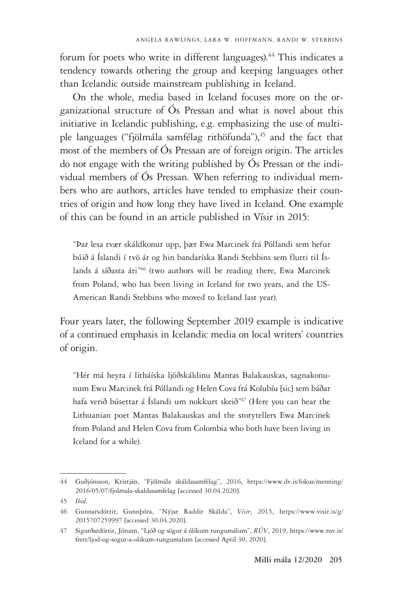forum for poets who write in different languages).<sup>44</sup> This indicates a tendency towards othering the group and keeping languages other than Icelandic outside mainstream publishing in Iceland.

On the whole, media based in Iceland focuses more on the organizational structure of Ós Pressan and what is novel about this initiative in Icelandic publishing, e.g. emphasizing the use of multiple languages ("fjölmála samfélag rithöfunda"),<sup>45</sup> and the fact that most of the members of Ós Pressan are of foreign origin. The articles do not engage with the writing published by Ós Pressan or the individual members of Ós Pressan. When referring to individual members who are authors, articles have tended to emphasize their countries of origin and how long they have lived in Iceland. One example of this can be found in an article published in Vísir in 2015:

"Þar lesa tvær skáldkonur upp, þær Ewa Marcinek frá Póllandi sem hefur búið á Íslandi í tvö ár og hin bandaríska Randi Stebbins sem flutti til Íslands á síðasta ári<sup>n46</sup> (two authors will be reading there, Ewa Marcinek from Poland, who has been living in Iceland for two years, and the US-American Randi Stebbins who moved to Iceland last year).

Four years later, the following September 2019 example is indicative of a continued emphasis in Icelandic media on local writers' countries of origin.

"Hér má heyra í litháíska ljóðskáldinu Mantas Balakauskas, sagnakonunum Ewu Marcinek frá Póllandi og Helen Cova frá Kolubíu [sic] sem báðar hafa verið búsettar á Íslandi um nokkurt skeið<sup>n47</sup> (Here you can hear the Lithuanian poet Mantas Balakauskas and the storytellers Ewa Marcinek from Poland and Helen Cova from Colombia who both have been living in Iceland for a while).

<sup>44</sup> Guðjónsson, Kristján, "Fjölmála skáldasamfélag", 2016, https://www.dv.is/fokus/menning/ 2016/05/07/fjolmala-skaldasamfelag [accessed 30.04.2020].

<sup>45</sup> *Ibid*.

<sup>46</sup> Gunnarsdóttir, Gunnþóra, "Nýjar Raddir Skálda", *Vísir*, 2015, https://www.visir.is/g/ 2015707259997 [accessed 30.04.2020].

<sup>47</sup> Sigurðardóttir, Jórunn, "Ljóð og sögur á ólíkum tungumálum", *RÚV*, 2019, https://www.ruv.is/ frett/ljod-og-sogur-a-olikum-tungumalum [accessed April 30, 2020].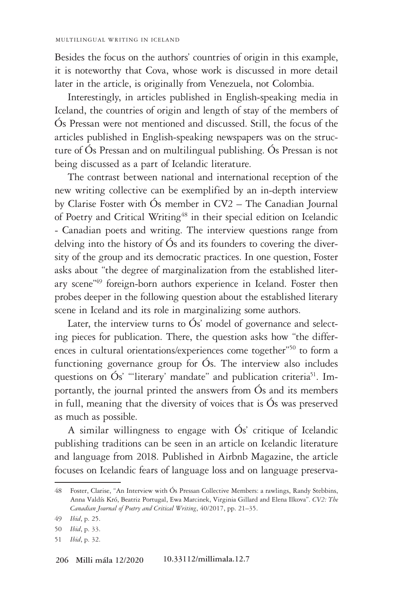Besides the focus on the authors' countries of origin in this example, it is noteworthy that Cova, whose work is discussed in more detail later in the article, is originally from Venezuela, not Colombia.

Interestingly, in articles published in English-speaking media in Iceland, the countries of origin and length of stay of the members of Ós Pressan were not mentioned and discussed. Still, the focus of the articles published in English-speaking newspapers was on the structure of Ós Pressan and on multilingual publishing. Ós Pressan is not being discussed as a part of Icelandic literature.

The contrast between national and international reception of the new writing collective can be exemplified by an in-depth interview by Clarise Foster with Ós member in CV2 – The Canadian Journal of Poetry and Critical Writing<sup>48</sup> in their special edition on Icelandic - Canadian poets and writing. The interview questions range from delving into the history of Ós and its founders to covering the diversity of the group and its democratic practices. In one question, Foster asks about "the degree of marginalization from the established literary scene"49 foreign-born authors experience in Iceland. Foster then probes deeper in the following question about the established literary scene in Iceland and its role in marginalizing some authors.

Later, the interview turns to  $\acute{O}s'$  model of governance and selecting pieces for publication. There, the question asks how "the differences in cultural orientations/experiences come together"50 to form a functioning governance group for Ós. The interview also includes questions on Ós' "'literary' mandate" and publication criteria<sup>51</sup>. Importantly, the journal printed the answers from Ós and its members in full, meaning that the diversity of voices that is Ós was preserved as much as possible.

A similar willingness to engage with Ós' critique of Icelandic publishing traditions can be seen in an article on Icelandic literature and language from 2018. Published in Airbnb Magazine, the article focuses on Icelandic fears of language loss and on language preserva-

<sup>48</sup> Foster, Clarise, "An Interview with Ós Pressan Collective Members: a rawlings, Randy Stebbins, Anna Valdís Kró, Beatriz Portugal, Ewa Marcinek, Virginia Gillard and Elena Ilkova". *CV2: The Canadian Journal of Poetry and Critical Writing*, 40/2017, pp. 21–35.

<sup>49</sup> *Ibid*, p. 25.

<sup>50</sup> *Ibid*, p. 33.

<sup>51</sup> *Ibid*, p. 32.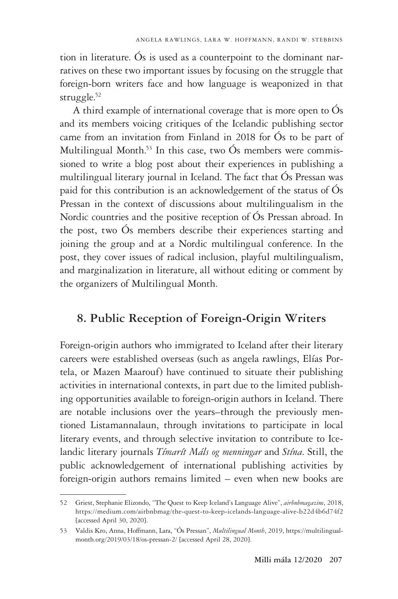tion in literature. Ós is used as a counterpoint to the dominant narratives on these two important issues by focusing on the struggle that foreign-born writers face and how language is weaponized in that struggle.<sup>52</sup>

A third example of international coverage that is more open to Ós and its members voicing critiques of the Icelandic publishing sector came from an invitation from Finland in 2018 for Ós to be part of Multilingual Month.<sup>53</sup> In this case, two  $\acute{O}s$  members were commissioned to write a blog post about their experiences in publishing a multilingual literary journal in Iceland. The fact that Ós Pressan was paid for this contribution is an acknowledgement of the status of Ós Pressan in the context of discussions about multilingualism in the Nordic countries and the positive reception of Ós Pressan abroad. In the post, two Ós members describe their experiences starting and joining the group and at a Nordic multilingual conference. In the post, they cover issues of radical inclusion, playful multilingualism, and marginalization in literature, all without editing or comment by the organizers of Multilingual Month.

#### **8. Public Reception of Foreign-Origin Writers**

Foreign-origin authors who immigrated to Iceland after their literary careers were established overseas (such as angela rawlings, Elías Portela, or Mazen Maarouf) have continued to situate their publishing activities in international contexts, in part due to the limited publishing opportunities available to foreign-origin authors in Iceland. There are notable inclusions over the years–through the previously mentioned Listamannalaun, through invitations to participate in local literary events, and through selective invitation to contribute to Icelandic literary journals *Tímarít Máls og menningar* and *Stína*. Still, the public acknowledgement of international publishing activities by foreign-origin authors remains limited – even when new books are

<sup>52</sup> Griest, Stephanie Elizondo, "The Quest to Keep Iceland's Language Alive", *airbnbmagazine*, 2018, https://medium.com/airbnbmag/the-quest-to-keep-icelands-language-alive-b22d4b6d74f2 [accessed April 30, 2020].

<sup>53</sup> Valdis Kro, Anna, Hoffmann, Lara, "Ós Pressan", *Multilingual Month*, 2019, https://multilingualmonth.org/2019/03/18/os-pressan-2/ [accessed April 28, 2020].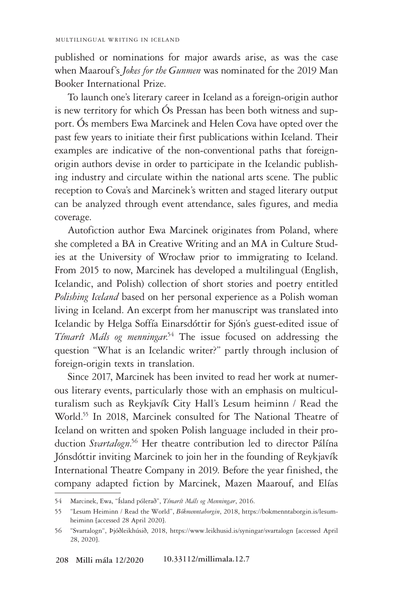published or nominations for major awards arise, as was the case when Maarouf's *Jokes for the Gunmen* was nominated for the 2019 Man Booker International Prize.

To launch one's literary career in Iceland as a foreign-origin author is new territory for which Ós Pressan has been both witness and support. Ós members Ewa Marcinek and Helen Cova have opted over the past few years to initiate their first publications within Iceland. Their examples are indicative of the non-conventional paths that foreignorigin authors devise in order to participate in the Icelandic publishing industry and circulate within the national arts scene. The public reception to Cova's and Marcinek's written and staged literary output can be analyzed through event attendance, sales figures, and media coverage.

Autofiction author Ewa Marcinek originates from Poland, where she completed a BA in Creative Writing and an MA in Culture Studies at the University of Wrocław prior to immigrating to Iceland. From 2015 to now, Marcinek has developed a multilingual (English, Icelandic, and Polish) collection of short stories and poetry entitled *Polishing Iceland* based on her personal experience as a Polish woman living in Iceland. An excerpt from her manuscript was translated into Icelandic by Helga Soffía Einarsdóttir for Sjón's guest-edited issue of Tímarít Máls og menningar.<sup>54</sup> The issue focused on addressing the question "What is an Icelandic writer?" partly through inclusion of foreign-origin texts in translation.

Since 2017, Marcinek has been invited to read her work at numerous literary events, particularly those with an emphasis on multiculturalism such as Reykjavík City Hall's Lesum heiminn / Read the World.55 In 2018, Marcinek consulted for The National Theatre of Iceland on written and spoken Polish language included in their production *Svartalogn*. 56 Her theatre contribution led to director Pálína Jónsdóttir inviting Marcinek to join her in the founding of Reykjavík International Theatre Company in 2019. Before the year finished, the company adapted fiction by Marcinek, Mazen Maarouf, and Elías

<sup>54</sup> Marcinek, Ewa, "Ísland pólerað", *Tímarít Máls og Menningar*, 2016.

<sup>55</sup> "Lesum Heiminn / Read the World", *Bókmenntaborgin*, 2018, https://bokmenntaborgin.is/lesumheiminn [accessed 28 April 2020].

<sup>56</sup> "Svartalogn", Þjóðleikhúsið, 2018, https://www.leikhusid.is/syningar/svartalogn [accessed April 28, 2020].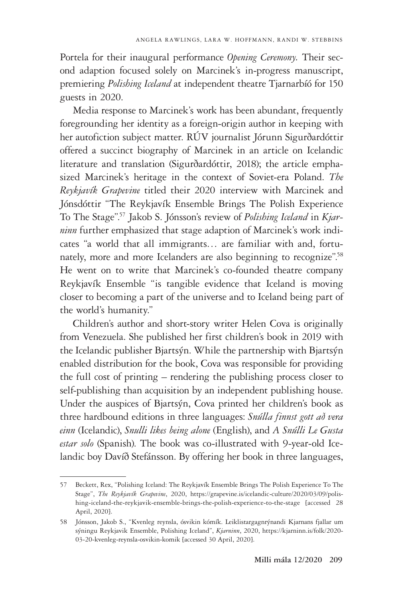Portela for their inaugural performance *Opening Ceremony.* Their second adaption focused solely on Marcinek's in-progress manuscript, premiering *Polishing Iceland* at independent theatre Tjarnarbíó for 150 guests in 2020.

Media response to Marcinek's work has been abundant, frequently foregrounding her identity as a foreign-origin author in keeping with her autofiction subject matter. RÚV journalist Jórunn Sigurðardóttir offered a succinct biography of Marcinek in an article on Icelandic literature and translation (Sigurðardóttir, 2018); the article emphasized Marcinek's heritage in the context of Soviet-era Poland. *The Reykjavík Grapevine* titled their 2020 interview with Marcinek and Jónsdóttir "The Reykjavík Ensemble Brings The Polish Experience To The Stage".57 Jakob S. Jónsson's review of *Polishing Iceland* in *Kjarninn* further emphasized that stage adaption of Marcinek's work indicates "a world that all immigrants… are familiar with and, fortunately, more and more Icelanders are also beginning to recognize".58 He went on to write that Marcinek's co-founded theatre company Reykjavík Ensemble "is tangible evidence that Iceland is moving closer to becoming a part of the universe and to Iceland being part of the world's humanity."

Children's author and short-story writer Helen Cova is originally from Venezuela. She published her first children's book in 2019 with the Icelandic publisher Bjartsýn. While the partnership with Bjartsýn enabled distribution for the book, Cova was responsible for providing the full cost of printing – rendering the publishing process closer to self-publishing than acquisition by an independent publishing house. Under the auspices of Bjartsýn, Cova printed her children's book as three hardbound editions in three languages: *Snúlla finnst gott að vera einn* (Icelandic), *Snulli likes being alone* (English), and *A Snúlli Le Gusta estar solo* (Spanish). The book was co-illustrated with 9-year-old Icelandic boy Davíð Stefánsson. By offering her book in three languages,

<sup>57</sup> Beckett, Rex, "Polishing Iceland: The Reykjavík Ensemble Brings The Polish Experience To The Stage", *The Reykjavík Grapevine*, 2020, https://grapevine.is/icelandic-culture/2020/03/09/polishing-iceland-the-reykjavik-ensemble-brings-the-polish-experience-to-the-stage [accessed 28 April, 2020].

<sup>58</sup> Jónsson, Jakob S., "Kvenleg reynsla, ósvikin kómík. Leiklistargagnrýnandi Kjarnans fjallar um sýningu Reykjavik Ensemble, Polishing Iceland", *Kjarninn*, 2020, https://kjarninn.is/folk/2020- 03-20-kvenleg-reynsla-osvikin-komik [accessed 30 April, 2020].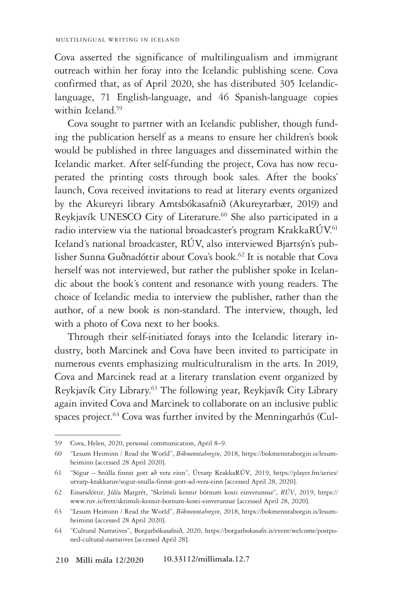Cova asserted the significance of multilingualism and immigrant outreach within her foray into the Icelandic publishing scene. Cova confirmed that, as of April 2020, she has distributed 305 Icelandiclanguage, 71 English-language, and 46 Spanish-language copies within Iceland.<sup>59</sup>

Cova sought to partner with an Icelandic publisher, though funding the publication herself as a means to ensure her children's book would be published in three languages and disseminated within the Icelandic market. After self-funding the project, Cova has now recuperated the printing costs through book sales. After the books' launch, Cova received invitations to read at literary events organized by the Akureyri library Amtsbókasafnið (Akureyrarbær, 2019) and Reykjavík UNESCO City of Literature.<sup>60</sup> She also participated in a radio interview via the national broadcaster's program KrakkaRÚV.<sup>61</sup> Iceland's national broadcaster, RÚV, also interviewed Bjartsýn's publisher Sunna Guðnadóttir about Cova's book.<sup>62</sup> It is notable that Cova herself was not interviewed, but rather the publisher spoke in Icelandic about the book's content and resonance with young readers. The choice of Icelandic media to interview the publisher, rather than the author, of a new book is non-standard. The interview, though, led with a photo of Cova next to her books.

Through their self-initiated forays into the Icelandic literary industry, both Marcinek and Cova have been invited to participate in numerous events emphasizing multiculturalism in the arts. In 2019, Cova and Marcinek read at a literary translation event organized by Reykjavík City Library.63 The following year, Reykjavík City Library again invited Cova and Marcinek to collaborate on an inclusive public spaces project.<sup>64</sup> Cova was further invited by the Menningarhús (Cul-

<sup>59</sup> Cova, Helen, 2020, personal communication, April 8–9.

<sup>60</sup> "Lesum Heiminn / Read the World", *Bókmenntaborgin*, 2018, https://bokmenntaborgin.is/lesumheiminn [accessed 28 April 2020].

<sup>61</sup> "Sögur – Snúlla finnst gott að vera einn", Útvarp KrakkaRÚV, 2019, https://player.fm/series/ utvarp-krakkaruv/sogur-snulla-finnst-gott-ad-vera-einn [accessed April 28, 2020].

<sup>62</sup> Einarsdóttir, Júlía Margrét, "Skrímsli kennir börnum kosti einverunnar", *RÚV*, 2019, https:// www.ruv.is/frett/skrimsli-kennir-bornum-kosti-einverunnar [accessed April 28, 2020].

<sup>63</sup> "Lesum Heiminn / Read the World", *Bókmenntaborgin*, 2018, https://bokmenntaborgin.is/lesumheiminn [accessed 28 April 2020].

<sup>64</sup> "Cultural Narratives", Borgarbókasafnið, 2020, https://borgarbokasafn.is/event/welcome/postponed-cultural-narratives [accessed April 28].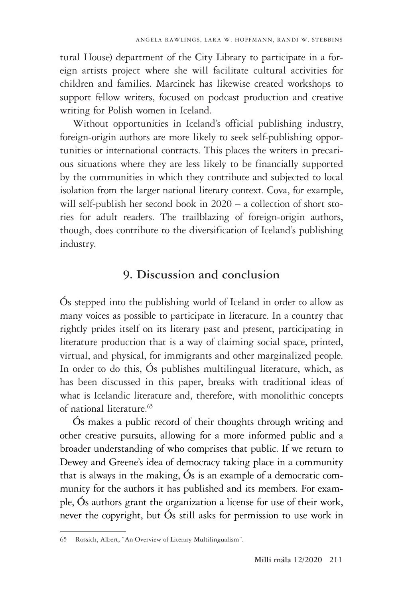tural House) department of the City Library to participate in a foreign artists project where she will facilitate cultural activities for children and families. Marcinek has likewise created workshops to support fellow writers, focused on podcast production and creative writing for Polish women in Iceland.

Without opportunities in Iceland's official publishing industry, foreign-origin authors are more likely to seek self-publishing opportunities or international contracts. This places the writers in precarious situations where they are less likely to be financially supported by the communities in which they contribute and subjected to local isolation from the larger national literary context. Cova, for example, will self-publish her second book in 2020 – a collection of short stories for adult readers. The trailblazing of foreign-origin authors, though, does contribute to the diversification of Iceland's publishing industry.

#### **9. Discussion and conclusion**

Ós stepped into the publishing world of Iceland in order to allow as many voices as possible to participate in literature. In a country that rightly prides itself on its literary past and present, participating in literature production that is a way of claiming social space, printed, virtual, and physical, for immigrants and other marginalized people. In order to do this, Ós publishes multilingual literature, which, as has been discussed in this paper, breaks with traditional ideas of what is Icelandic literature and, therefore, with monolithic concepts of national literature.<sup>65</sup>

Ós makes a public record of their thoughts through writing and other creative pursuits, allowing for a more informed public and a broader understanding of who comprises that public. If we return to Dewey and Greene's idea of democracy taking place in a community that is always in the making, Ós is an example of a democratic community for the authors it has published and its members. For example, Ós authors grant the organization a license for use of their work, never the copyright, but Ós still asks for permission to use work in

<sup>65</sup> Rossich, Albert, "An Overview of Literary Multilingualism".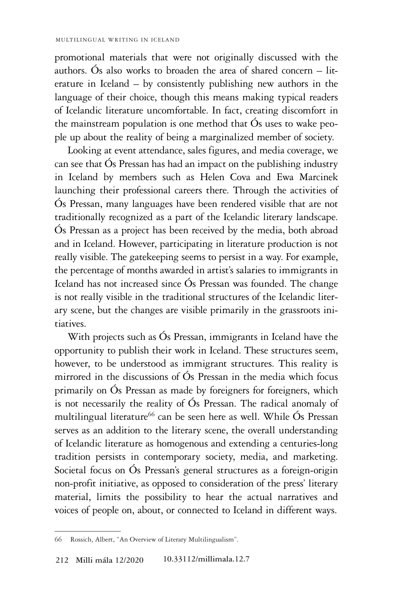promotional materials that were not originally discussed with the authors. Ós also works to broaden the area of shared concern – literature in Iceland – by consistently publishing new authors in the language of their choice, though this means making typical readers of Icelandic literature uncomfortable. In fact, creating discomfort in the mainstream population is one method that Ós uses to wake people up about the reality of being a marginalized member of society.

Looking at event attendance, sales figures, and media coverage, we can see that Ós Pressan has had an impact on the publishing industry in Iceland by members such as Helen Cova and Ewa Marcinek launching their professional careers there. Through the activities of Ós Pressan, many languages have been rendered visible that are not traditionally recognized as a part of the Icelandic literary landscape. Ós Pressan as a project has been received by the media, both abroad and in Iceland. However, participating in literature production is not really visible. The gatekeeping seems to persist in a way. For example, the percentage of months awarded in artist's salaries to immigrants in Iceland has not increased since Ós Pressan was founded. The change is not really visible in the traditional structures of the Icelandic literary scene, but the changes are visible primarily in the grassroots initiatives.

With projects such as Ós Pressan, immigrants in Iceland have the opportunity to publish their work in Iceland. These structures seem, however, to be understood as immigrant structures. This reality is mirrored in the discussions of Ós Pressan in the media which focus primarily on Ós Pressan as made by foreigners for foreigners, which is not necessarily the reality of Ós Pressan. The radical anomaly of multilingual literature<sup>66</sup> can be seen here as well. While Ós Pressan serves as an addition to the literary scene, the overall understanding of Icelandic literature as homogenous and extending a centuries-long tradition persists in contemporary society, media, and marketing. Societal focus on Ós Pressan's general structures as a foreign-origin non-profit initiative, as opposed to consideration of the press' literary material, limits the possibility to hear the actual narratives and voices of people on, about, or connected to Iceland in different ways.

<sup>66</sup> Rossich, Albert, "An Overview of Literary Multilingualism".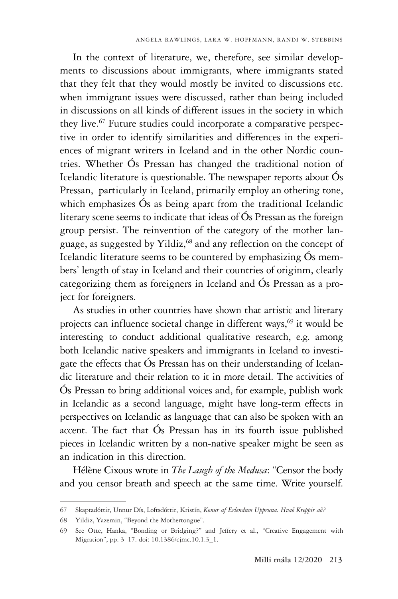In the context of literature, we, therefore, see similar developments to discussions about immigrants, where immigrants stated that they felt that they would mostly be invited to discussions etc. when immigrant issues were discussed, rather than being included in discussions on all kinds of different issues in the society in which they live.<sup>67</sup> Future studies could incorporate a comparative perspective in order to identify similarities and differences in the experiences of migrant writers in Iceland and in the other Nordic countries. Whether Ós Pressan has changed the traditional notion of Icelandic literature is questionable. The newspaper reports about Ós Pressan, particularly in Iceland, primarily employ an othering tone, which emphasizes Ós as being apart from the traditional Icelandic literary scene seems to indicate that ideas of Ós Pressan as the foreign group persist. The reinvention of the category of the mother language, as suggested by Yildiz,<sup>68</sup> and any reflection on the concept of Icelandic literature seems to be countered by emphasizing Ós members' length of stay in Iceland and their countries of originm, clearly categorizing them as foreigners in Iceland and Ós Pressan as a project for foreigners.

As studies in other countries have shown that artistic and literary projects can influence societal change in different ways,<sup>69</sup> it would be interesting to conduct additional qualitative research, e.g. among both Icelandic native speakers and immigrants in Iceland to investigate the effects that Ós Pressan has on their understanding of Icelandic literature and their relation to it in more detail. The activities of Ós Pressan to bring additional voices and, for example, publish work in Icelandic as a second language, might have long-term effects in perspectives on Icelandic as language that can also be spoken with an accent. The fact that Ós Pressan has in its fourth issue published pieces in Icelandic written by a non-native speaker might be seen as an indication in this direction.

Hélène Cixous wrote in *The Laugh of the Medusa*: "Censor the body and you censor breath and speech at the same time. Write yourself.

<sup>67</sup> Skaptadóttir, Unnur Dís, Loftsdóttir, Kristín, *Konur af Erlendum Uppruna. Hvað Kreppir að?*

<sup>68</sup> Yildiz, Yazemin, "Beyond the Mothertongue".

<sup>69</sup> See Otte, Hanka, "Bonding or Bridging?" and Jeffery et al., "Creative Engagement with Migration", pp. 3–17. doi: 10.1386/cjmc.10.1.3\_1.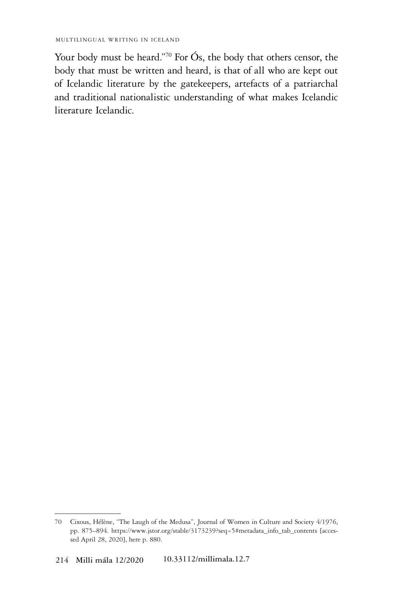Your body must be heard."70 For Ós, the body that others censor, the body that must be written and heard, is that of all who are kept out of Icelandic literature by the gatekeepers, artefacts of a patriarchal and traditional nationalistic understanding of what makes Icelandic literature Icelandic.

<sup>70</sup> Cixous, Hélène, "The Laugh of the Medusa", Journal of Women in Culture and Society 4/1976, pp. 875–894. https://www.jstor.org/stable/3173239?seq=5#metadata\_info\_tab\_contents [accessed April 28, 2020], here p. 880.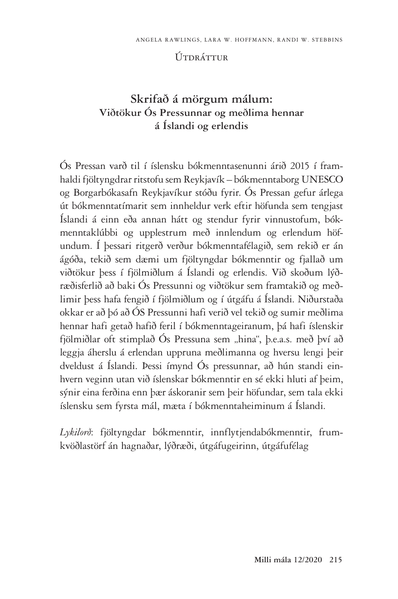#### Útdráttur

# **Skrifað á mörgum málum: Viðtökur Ós Pressunnar og meðlima hennar á Íslandi og erlendis**

Ós Pressan varð til í íslensku bókmenntasenunni árið 2015 í framhaldi fjöltyngdrar ritstofu sem Reykjavík – bókmenntaborg UNESCO og Borgarbókasafn Reykjavíkur stóðu fyrir. Ós Pressan gefur árlega út bókmenntatímarit sem innheldur verk eftir höfunda sem tengjast Íslandi á einn eða annan hátt og stendur fyrir vinnustofum, bókmenntaklúbbi og upplestrum með innlendum og erlendum höfundum. Í þessari ritgerð verður bókmenntafélagið, sem rekið er án ágóða, tekið sem dæmi um fjöltyngdar bókmenntir og fjallað um viðtökur þess í fjölmiðlum á Íslandi og erlendis. Við skoðum lýðræðisferlið að baki Ós Pressunni og viðtökur sem framtakið og meðlimir þess hafa fengið í fjölmiðlum og í útgáfu á Íslandi. Niðurstaða okkar er að þó að ÓS Pressunni hafi verið vel tekið og sumir meðlima hennar hafi getað hafið feril í bókmenntageiranum, þá hafi íslenskir fjölmiðlar oft stimplað Ós Pressuna sem "hina", þ.e.a.s. með því að leggja áherslu á erlendan uppruna meðlimanna og hversu lengi þeir dveldust á Íslandi. Þessi ímynd Ós pressunnar, að hún standi einhvern veginn utan við íslenskar bókmenntir en sé ekki hluti af þeim, sýnir eina ferðina enn þær áskoranir sem þeir höfundar, sem tala ekki íslensku sem fyrsta mál, mæta í bókmenntaheiminum á Íslandi.

*Lykilorð*: fjöltyngdar bókmenntir, innflytjendabókmenntir, frumkvöðlastörf án hagnaðar, lýðræði, útgáfugeirinn, útgáfufélag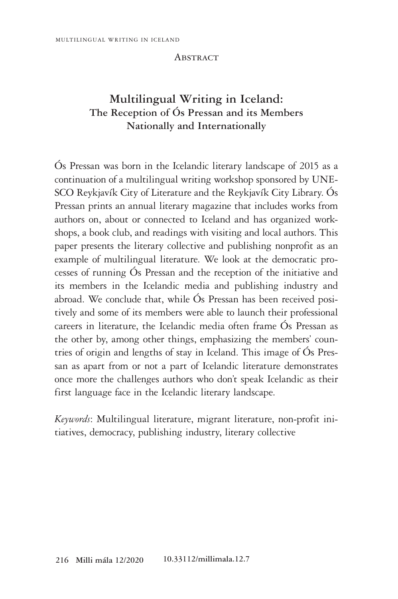#### **ABSTRACT**

# **Multilingual Writing in Iceland: The Reception of Ós Pressan and its Members Nationally and Internationally**

Ós Pressan was born in the Icelandic literary landscape of 2015 as a continuation of a multilingual writing workshop sponsored by UNE-SCO Reykjavík City of Literature and the Reykjavík City Library. Ós Pressan prints an annual literary magazine that includes works from authors on, about or connected to Iceland and has organized workshops, a book club, and readings with visiting and local authors. This paper presents the literary collective and publishing nonprofit as an example of multilingual literature. We look at the democratic processes of running Ós Pressan and the reception of the initiative and its members in the Icelandic media and publishing industry and abroad. We conclude that, while Ós Pressan has been received positively and some of its members were able to launch their professional careers in literature, the Icelandic media often frame Ós Pressan as the other by, among other things, emphasizing the members' countries of origin and lengths of stay in Iceland. This image of Ós Pressan as apart from or not a part of Icelandic literature demonstrates once more the challenges authors who don't speak Icelandic as their first language face in the Icelandic literary landscape.

*Keywords*: Multilingual literature, migrant literature, non-profit initiatives, democracy, publishing industry, literary collective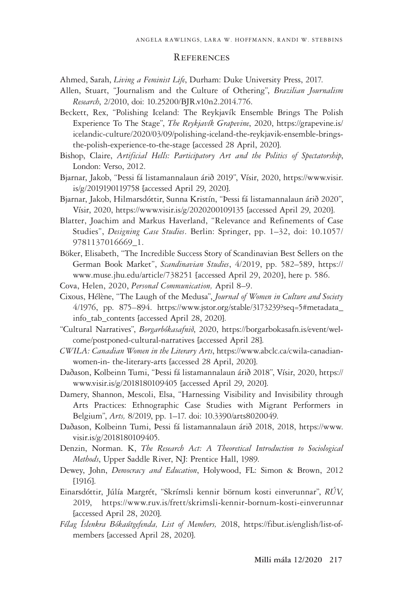#### **REFERENCES**

Ahmed, Sarah, *Living a Feminist Life*, Durham: Duke University Press, 2017.

- Allen, Stuart, "Journalism and the Culture of Othering", *Brazilian Journalism Research*, 2/2010, doi: 10.25200/BJR.v10n2.2014.776.
- Beckett, Rex, "Polishing Iceland: The Reykjavík Ensemble Brings The Polish Experience To The Stage", *The Reykjavík Grapevine*, 2020, https://grapevine.is/ icelandic-culture/2020/03/09/polishing-iceland-the-reykjavik-ensemble-bringsthe-polish-experience-to-the-stage [accessed 28 April, 2020].
- Bishop, Claire, *Artificial Hells: Participatory Art and the Politics of Spectatorship*, London: Verso, 2012.
- Bjarnar, Jakob, "Þessi fá listamannalaun árið 2019", Vísir, 2020, https://www.visir. is/g/2019190119758 [accessed April 29, 2020].
- Bjarnar, Jakob, Hilmarsdóttir, Sunna Kristín, "Þessi fá listamannalaun árið 2020", Vísir, 2020, https://www.visir.is/g/2020200109135 [accessed April 29, 2020].
- Blatter, Joachim and Markus Haverland, "Relevance and Refinements of Case Studies", *Designing Case Studies*. Berlin: Springer, pp. 1–32, doi: 10.1057/ 9781137016669\_1.
- Böker, Elisabeth, "The Incredible Success Story of Scandinavian Best Sellers on the German Book Market", *Scandinavian Studies*, 4/2019, pp. 582–589, https:// www.muse.jhu.edu/article/738251 [accessed April 29, 2020], here p. 586.
- Cova, Helen, 2020, *Personal Communication,* April 8–9.
- Cixous, Hélène, "The Laugh of the Medusa", *Journal of Women in Culture and Society*  4/1976, pp. 875*–*894. https://www.jstor.org/stable/3173239?seq=5#metadata\_ info\_tab\_contents [accessed April 28, 2020].
- "Cultural Narratives", *Borgarbókasafnið*, 2020, https://borgarbokasafn.is/event/welcome/postponed-cultural-narratives [accessed April 28].
- *CWILA: Canadian Women in the Literary Arts*, https://www.abclc.ca/cwila-canadianwomen-in- the-literary-arts [accessed 28 April, 2020].
- Daðason, Kolbeinn Tumi, "Þessi fá listamannalaun árið 2018", Vísir, 2020, https:// www.visir.is/g/2018180109405 [accessed April 29, 2020].
- Damery, Shannon, Mescoli, Elsa, "Harnessing Visibility and Invisibility through Arts Practices: Ethnographic Case Studies with Migrant Performers in Belgium", *Arts,* 8/2019, pp. 1–17. doi: 10.3390/arts8020049.
- Daðason, Kolbeinn Tumi, Þessi fá listamannalaun árið 2018, 2018, https://www. visir.is/g/2018180109405.
- Denzin, Norman. K, *The Research Act: A Theoretical Introduction to Sociological Methods*, Upper Saddle River, NJ: Prentice Hall, 1989.
- Dewey, John, *Democracy and Education*, Holywood, FL: Simon & Brown, 2012 [1916].
- Einarsdóttir, Júlía Margrét, "Skrímsli kennir börnum kosti einverunnar", *RÚV*, 2019, https://www.ruv.is/frett/skrimsli-kennir-bornum-kosti-einverunnar [accessed April 28, 2020].
- *Félag Íslenkra Bókaútgefenda, List of Members,* 2018, https://fibut.is/english/list-ofmembers [accessed April 28, 2020].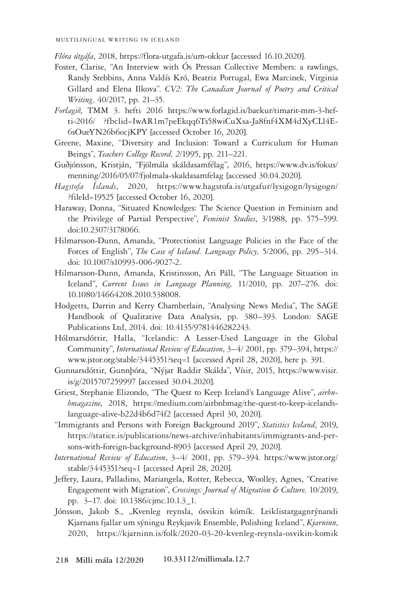*Flóra útgáfa*, 2018, https://flora-utgafa.is/um-okkur [accessed 16.10.2020].

- Foster, Clarise, "An Interview with Ós Pressan Collective Members: a rawlings, Randy Stebbins, Anna Valdís Kró, Beatriz Portugal, Ewa Marcinek, Virginia Gillard and Elena Ilkova". *CV2: The Canadian Journal of Poetry and Critical Writing,* 40/2017, pp. 21–35.
- *Forlagið*, TMM 3. hefti 2016 https://www.forlagid.is/baekur/timarit-mm-3-hefti-2016/ ?fbclid=IwAR1m7peEkqq6Ts58wiCuXsa-Ja8fnf4XM4dXyCLl4E-6sOueYN26b6ocjKPY [accessed October 16, 2020].
- Greene, Maxine, "Diversity and Inclusion: Toward a Curriculum for Human Beings", *Teachers College Record, 2*/1995, pp. 211–221.
- Guðjónsson, Kristján, "Fjölmála skáldasamfélag", 2016, https://www.dv.is/fokus/ menning/2016/05/07/fjolmala-skaldasamfelag [accessed 30.04.2020].
- *Hagstofa Íslands*, 2020, https://www.hagstofa.is/utgafur/lysigogn/lysigogn/ ?fileId=19525 [accessed October 16, 2020].
- Haraway, Donna, "Situated Knowledges: The Science Question in Feminism and the Privilege of Partial Perspective", *Feminist Studies*, 3/1988, pp. 575–599. doi:10.2307/3178066.
- Hilmarsson-Dunn, Amanda, "Protectionist Language Policies in the Face of the Forces of English", *The Case of Iceland. Language Policy,* 5/2006, pp. 295–314. doi: 10.1007/s10993-006-9027-2.
- Hilmarsson-Dunn, Amanda, Kristinsson, Ari Páll, "The Language Situation in Iceland", *Current Issues in Language Planning,* 11/2010, pp. 207–276. doi: 10.1080/14664208.2010.538008.
- Hodgetts, Darrin and Kerry Chamberlain, "Analysing News Media", The SAGE Handbook of Qualitative Data Analysis, pp. 380–393. London: SAGE Publications Ltd, 2014. doi: 10.4135/9781446282243.
- Hólmarsdóttir, Halla, "Icelandic: A Lesser-Used Language in the Global Community", *International Review of Education*, 3–4/ 2001, pp. 379–394, https:// www.jstor.org/stable/3445351?seq=1 [accessed April 28, 2020], here p. 391.
- Gunnarsdóttir, Gunnþóra, "Nýjar Raddir Skálda", Vísir, 2015, https://www.visir. is/g/2015707259997 [accessed 30.04.2020].
- Griest, Stephanie Elizondo, "The Quest to Keep Iceland's Language Alive", *airbnbmagazine*, 2018, https://medium.com/airbnbmag/the-quest-to-keep-icelandslanguage-alive-b22d4b6d74f2 [accessed April 30, 2020].
- "Immigrants and Persons with Foreign Background 2019", *Statistics Iceland*, 2019, https://statice.is/publications/news-archive/inhabitants/immigrants-and-persons-with-foreign-background-8903 [accessed April 29, 2020].
- *International Review of Education*, 3–4/ 2001, pp. 379–394. https://www.jstor.org/ stable/3445351?seq=1 [accessed April 28, 2020].
- Jeffery, Laura, Palladino, Mariangela, Rotter, Rebecca, Woolley, Agnes, "Creative Engagement with Migration", *Crossings: Journal of Migration & Culture,* 10/2019, pp. 3–17. doi: 10.1386/cjmc.10.1.3\_1.
- Jónsson, Jakob S., "Kvenleg reynsla, ósvikin kómík. Leiklistargagnrýnandi Kjarnans fjallar um sýningu Reykjavik Ensemble, Polishing Iceland", *Kjarninn*, 2020, https://kjarninn.is/folk/2020-03-20-kvenleg-reynsla-osvikin-komik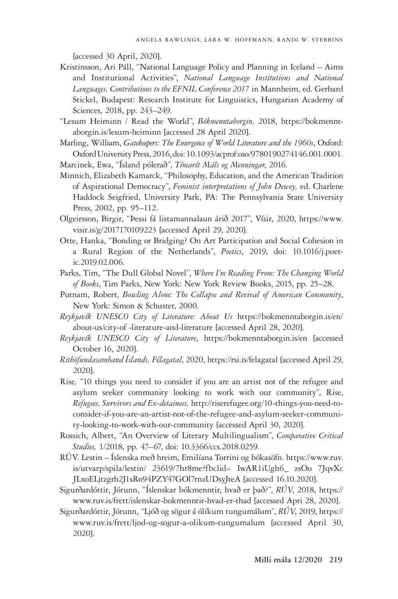[accessed 30 April, 2020].

- Kristinsson, Ari Páll, "National Language Policy and Planning in Iceland Aims and Institutional Activities", *National Language Institutions and National Languages. Contributions to the EFNIL Conference 2017* in Mannheim, ed. Gerhard Stickel, Budapest: Research Institute for Linguistics, Hungarian Academy of Sciences, 2018, pp. 243–249.
- "Lesum Heiminn / Read the World", *Bókmenntaborgin,* 2018, https://bokmenntaborgin.is/lesum-heiminn [accessed 28 April 2020].
- Marling, William, *Gatekeepers: The Emergence of World Literature and the 1960s*, Oxford: Oxford University Press, 2016, doi: 10.1093/acprof:oso/9780190274146.001.0001.
- Marcinek, Ewa, "Ísland pólerað", *Tímarít Máls og Menningar*, 2016.
- Minnich, Elizabeth Kamarck, "Philosophy, Education, and the American Tradition of Aspirational Democracy", *Feminist interpretations of John Dewey,* ed. Charlene Haddock Seigfried, University Park, PA: The Pennsylvania State University Press, 2002, pp. 95–112.
- Olgeirsson, Birgir, "Þessi fá listamannalaun árið 2017", Vísir, 2020, https://www. visir.is/g/2017170109223 [accessed April 29, 2020].
- Otte, Hanka, "Bonding or Bridging? On Art Participation and Social Cohesion in a Rural Region of the Netherlands", *Poetics*, 2019, doi: 10.1016/j.poetic.2019.02.006.
- Parks, Tim, "The Dull Global Novel", *Where I'm Reading From: The Changing World of Books*, Tim Parks, New York: New York Review Books, 2015, pp. 25–28.
- Putnam, Robert, *Bowling Alone: The Collapse and Revival of American Community*, New York: Simon & Schuster, 2000.
- *Reykjavík UNESCO City of Literature: About Us* https://bokmenntaborgin.is/en/ about-us/city-of -literature-and-literature [accessed April 28, 2020].
- *Reykjavík UNESCO City of Literature*, https://bokmenntaborgin.is/en [accessed October 16, 2020].
- *Rithöfundasamband Íslands, Félagatal*, 2020, https://rsi.is/felagatal [accessed April 29, 2020].
- Rise*,* "10 things you need to consider if you are an artist not of the refugee and asylum seeker community looking to work with our community", Rise, *Refugees, Survivors and Ex-detainees,* http://riserefugee.org/10-things-you-need-toconsider-if-you-are-an-artist-not-of-the-refugee-and-asylum-seeker-community-looking-to-work-with-our-community [accessed April 30, 2020].
- Rossich, Albert, "An Overview of Literary Multilingualism", *Comparative Critical Studies,* 1/2018, pp. 47–67, doi: 10.3366/ccs.2018.0259.
- RÚV. Lestin Íslenska með hreim, Emilíana Torrini og bókasöfn. https://www.ruv. is/utvarp/spila/lestin/ 23619/7hr8me?fbclid= IwAR1iUgh6\_ zsOo 7JqvXc JLxoELjtzgrh2J1sRo94PZY47GOl7rnzUDsyJteA [accessed 16.10.2020].
- Sigurðardóttir, Jórunn, "Íslenskar bókmenntir, hvað er það?", *RÚV*, 2018, https:// www.ruv.is/frett/islenskar-bokmenntir-hvad-er-thad [accessed Apri 28, 2020].
- Sigurðardóttir, Jórunn, "Ljóð og sögur á ólíkum tungumálum", *RÚV*, 2019, https:// www.ruv.is/frett/ljod-og-sogur-a-olikum-tungumalum [accessed April 30, 2020].